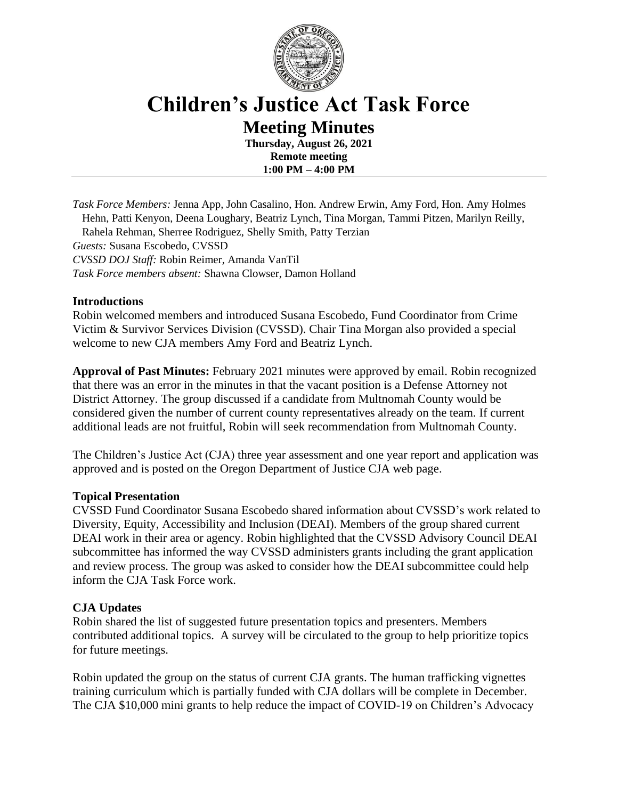

# **Children's Justice Act Task Force Meeting Minutes**

**Thursday, August 26, 2021 Remote meeting 1:00 PM – 4:00 PM**

*Task Force Members:* Jenna App, John Casalino, Hon. Andrew Erwin, Amy Ford, Hon. Amy Holmes Hehn, Patti Kenyon, Deena Loughary, Beatriz Lynch, Tina Morgan, Tammi Pitzen, Marilyn Reilly, Rahela Rehman, Sherree Rodriguez, Shelly Smith, Patty Terzian *Guests:* Susana Escobedo, CVSSD *CVSSD DOJ Staff:* Robin Reimer, Amanda VanTil *Task Force members absent:* Shawna Clowser, Damon Holland

## **Introductions**

Robin welcomed members and introduced Susana Escobedo, Fund Coordinator from Crime Victim & Survivor Services Division (CVSSD). Chair Tina Morgan also provided a special welcome to new CJA members Amy Ford and Beatriz Lynch.

**Approval of Past Minutes:** February 2021 minutes were approved by email. Robin recognized that there was an error in the minutes in that the vacant position is a Defense Attorney not District Attorney. The group discussed if a candidate from Multnomah County would be considered given the number of current county representatives already on the team. If current additional leads are not fruitful, Robin will seek recommendation from Multnomah County.

The Children's Justice Act (CJA) three year assessment and one year report and application was approved and is posted on the Oregon Department of Justice CJA web page.

## **Topical Presentation**

CVSSD Fund Coordinator Susana Escobedo shared information about CVSSD's work related to Diversity, Equity, Accessibility and Inclusion (DEAI). Members of the group shared current DEAI work in their area or agency. Robin highlighted that the CVSSD Advisory Council DEAI subcommittee has informed the way CVSSD administers grants including the grant application and review process. The group was asked to consider how the DEAI subcommittee could help inform the CJA Task Force work.

## **CJA Updates**

Robin shared the list of suggested future presentation topics and presenters. Members contributed additional topics. A survey will be circulated to the group to help prioritize topics for future meetings.

Robin updated the group on the status of current CJA grants. The human trafficking vignettes training curriculum which is partially funded with CJA dollars will be complete in December. The CJA \$10,000 mini grants to help reduce the impact of COVID-19 on Children's Advocacy